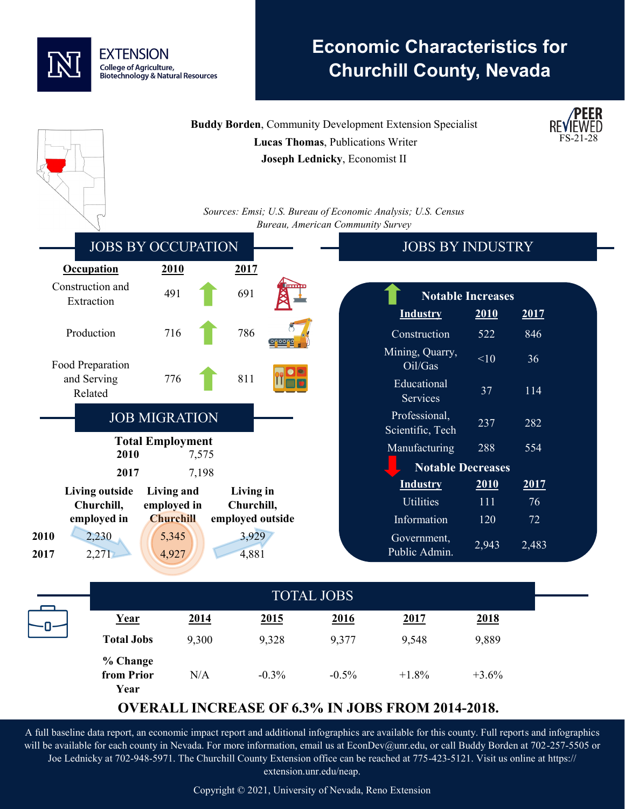

# **Economic Characteristics for Churchill County, Nevada**

**PEER** 

|                                                                                             | <b>Buddy Borden, Community Development Extension Specialist</b> |                | <b>REVIEWED</b> |  |
|---------------------------------------------------------------------------------------------|-----------------------------------------------------------------|----------------|-----------------|--|
| Lucas Thomas, Publications Writer                                                           |                                                                 |                |                 |  |
| Joseph Lednicky, Economist II                                                               |                                                                 |                |                 |  |
|                                                                                             |                                                                 |                |                 |  |
|                                                                                             |                                                                 |                |                 |  |
|                                                                                             | Sources: Emsi; U.S. Bureau of Economic Analysis; U.S. Census    |                |                 |  |
|                                                                                             | Bureau, American Community Survey                               |                |                 |  |
| <b>JOBS BY OCCUPATION</b>                                                                   | <b>JOBS BY INDUSTRY</b>                                         |                |                 |  |
| <b>Occupation</b><br>2010<br>2017                                                           |                                                                 |                |                 |  |
| Construction and<br>491<br>691<br>Extraction                                                | <b>Notable Increases</b>                                        |                |                 |  |
|                                                                                             | <b>Industry</b>                                                 | 2010<br>2017   |                 |  |
| 786<br>716<br>Production                                                                    | Construction                                                    | 522<br>846     |                 |  |
| Food Preparation                                                                            | Mining, Quarry,<br>Oil/Gas                                      | <10<br>36      |                 |  |
| 811<br>and Serving<br>776<br>Related                                                        | Educational<br>Services                                         | 37<br>114      |                 |  |
| <b>JOB MIGRATION</b>                                                                        | Professional,<br>Scientific, Tech                               | 237<br>282     |                 |  |
| <b>Total Employment</b><br>2010                                                             | Manufacturing                                                   | 288<br>554     |                 |  |
| 7,575                                                                                       | <b>Notable Decreases</b>                                        |                |                 |  |
| 2017<br>7,198                                                                               | <b>Industry</b>                                                 | 2010<br>2017   |                 |  |
| <b>Living outside</b><br>Living and<br>Living in<br>Churchill,<br>employed in<br>Churchill, | <b>Utilities</b>                                                | 111<br>76      |                 |  |
| <b>Churchill</b><br>employed outside<br>employed in                                         | Information                                                     | 120<br>72      |                 |  |
| 2,230<br>2010<br>5,345<br>3,929<br>2,271<br>4,927<br>4,881<br>2017                          | Government,<br>Public Admin.                                    | 2,943<br>2,483 |                 |  |
|                                                                                             |                                                                 |                |                 |  |
|                                                                                             | <b>TOTAL JOBS</b>                                               |                |                 |  |
|                                                                                             |                                                                 |                |                 |  |

| Year                           | 2014  | 2015    | 2016     | 2017              | 2018    |
|--------------------------------|-------|---------|----------|-------------------|---------|
| <b>Total Jobs</b>              | 9,300 | 9,328   | 9,377    | 9,548             | 9,889   |
| % Change<br>from Prior<br>Year | N/A   | $-0.3%$ | $-0.5\%$ | $+1.8\%$          | $+3.6%$ |
|                                |       |         |          | <b>TOTAL JOBS</b> |         |

## **OVERALL INCREASE OF 6.3% IN JOBS FROM 2014-2018.**

A full baseline data report, an economic impact report and additional infographics are available for this county. Full reports and infographics will be available for each county in Nevada. For more information, email us at EconDev@unr.edu, or call Buddy Borden at 702-257-5505 or Joe Lednicky at 702-948-5971. The Churchill County Extension office can be reached at 775-423-5121. Visit us online at https:// extension.unr.edu/neap.

Copyright © 2021, University of Nevada, Reno Extension